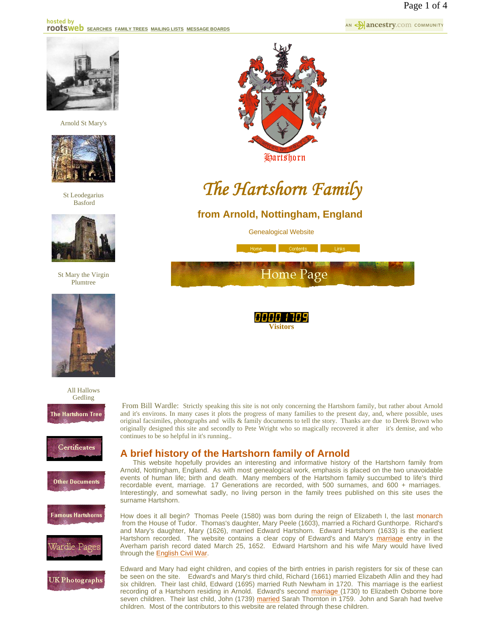

Arnold St Mary's



St Leodegarius Basford



St Mary the Virgin Plumtree



All Hallows Gedling















# *The Hartshorn Family*

# **from Arnold, Nottingham, England**

Genealogical Website





From Bill Wardle: Strictly speaking this site is not only concerning the Hartshorn family, but rather about Arnold and it's environs. In many cases it plots the progress of many families to the present day, and, where possible, uses original facsimiles, photographs and wills & family documents to tell the story. Thanks are due to Derek Brown who originally designed this site and secondly to Pete Wright who so magically recovered it after it's demise, and who continues to be so helpful in it's running..

# **A brief history of the Hartshorn family of Arnold**

 This website hopefully provides an interesting and informative history of the Hartshorn family from Arnold, Nottingham, England. As with most genealogical work, emphasis is placed on the two unavoidable events of human life; birth and death. Many members of the Hartshorn family succumbed to life's third recordable event, marriage. 17 Generations are recorded, with 500 surnames, and 600 + marriages. Interestingly, and somewhat sadly, no living person in the family trees published on this site uses the surname Hartshorn.

How does it all begin? Thomas Peele (1580) was born during the reign of Elizabeth I, the last monarch from the House of Tudor. Thomas's daughter, Mary Peele (1603), married a Richard Gunthorpe. Richard's and Mary's daughter, Mary (1626), married Edward Hartshorn. Edward Hartshorn (1633) is the earliest Hartshorn recorded. The website contains a clear copy of Edward's and Mary's marriage entry in the Averham parish record dated March 25, 1652. Edward Hartshorn and his wife Mary would have lived through the English Civil War.

Edward and Mary had eight children, and copies of the birth entries in parish registers for six of these can be seen on the site. Edward's and Mary's third child, Richard (1661) married Elizabeth Allin and they had six children. Their last child, Edward (1695) married Ruth Newham in 1720. This marriage is the earliest recording of a Hartshorn residing in Arnold. Edward's second marriage (1730) to Elizabeth Osborne bore seven children. Their last child, John (1739) married Sarah Thornton in 1759. John and Sarah had twelve children. Most of the contributors to this website are related through these children.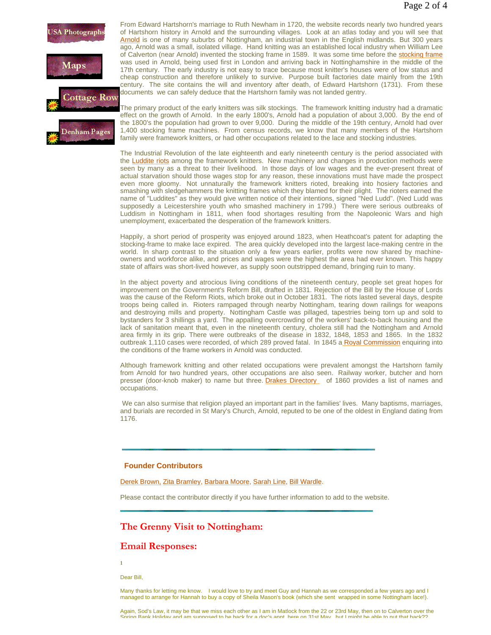



From Edward Hartshorn's marriage to Ruth Newham in 1720, the website records nearly two hundred years of Hartshorn history in Arnold and the surrounding villages. Look at an atlas today and you will see that Arnold is one of many suburbs of Nottingham, an industrial town in the English midlands. But 300 years ago, Arnold was a small, isolated village. Hand knitting was an established local industry when William Lee of Calverton (near Arnold) invented the stocking frame in 1589. It was some time before the stocking frame was used in Arnold, being used first in London and arriving back in Nottinghamshire in the middle of the 17th century. The early industry is not easy to trace because most knitter's houses were of low status and cheap construction and therefore unlikely to survive. Purpose built factories date mainly from the 19th century. The site contains the will and inventory after death, of Edward Hartshorn (1731). From these documents we can safely deduce that the Hartshorn family was not landed gentry.

The primary product of the early knitters was silk stockings. The framework knitting industry had a dramatic effect on the growth of Arnold. In the early 1800's, Arnold had a population of about 3,000. By the end of the 1800's the population had grown to over 9,000. During the middle of the 19th century, Arnold had over 1,400 stocking frame machines. From census records, we know that many members of the Hartshorn family were framework knitters, or had other occupations related to the lace and stocking industries.

The Industrial Revolution of the late eighteenth and early nineteenth century is the period associated with the Luddite riots among the framework knitters. New machinery and changes in production methods were seen by many as a threat to their livelihood. In those days of low wages and the ever-present threat of actual starvation should those wages stop for any reason, these innovations must have made the prospect even more gloomy. Not unnaturally the framework knitters rioted, breaking into hosiery factories and smashing with sledgehammers the knitting frames which they blamed for their plight. The rioters earned the name of "Luddites" as they would give written notice of their intentions, signed "Ned Ludd". (Ned Ludd was supposedly a Leicestershire youth who smashed machinery in 1799.) There were serious outbreaks of Luddism in Nottingham in 1811, when food shortages resulting from the Napoleonic Wars and high unemployment, exacerbated the desperation of the framework knitters.

Happily, a short period of prosperity was enjoyed around 1823, when Heathcoat's patent for adapting the stocking-frame to make lace expired. The area quickly developed into the largest lace-making centre in the world. In sharp contrast to the situation only a few years earlier, profits were now shared by machineowners and workforce alike, and prices and wages were the highest the area had ever known. This happy state of affairs was short-lived however, as supply soon outstripped demand, bringing ruin to many.

In the abject poverty and atrocious living conditions of the nineteenth century, people set great hopes for improvement on the Government's Reform Bill, drafted in 1831. Rejection of the Bill by the House of Lords was the cause of the Reform Riots, which broke out in October 1831. The riots lasted several days, despite troops being called in. Rioters rampaged through nearby Nottingham, tearing down railings for weapons and destroying mills and property. Nottingham Castle was pillaged, tapestries being torn up and sold to bystanders for 3 shillings a yard. The appalling overcrowding of the workers' back-to-back housing and the lack of sanitation meant that, even in the nineteenth century, cholera still had the Nottingham and Arnold area firmly in its grip. There were outbreaks of the disease in 1832, 1848, 1853 and 1865. In the 1832 outbreak 1,110 cases were recorded, of which 289 proved fatal. In 1845 a Royal Commission enquiring into the conditions of the frame workers in Arnold was conducted.

Although framework knitting and other related occupations were prevalent amongst the Hartshorn family from Arnold for two hundred years, other occupations are also seen. Railway worker, butcher and horn presser (door-knob maker) to name but three. Drakes Directory of 1860 provides a list of names and occupations.

We can also surmise that religion played an important part in the families' lives. Many baptisms, marriages, and burials are recorded in St Mary's Church, Arnold, reputed to be one of the oldest in England dating from 1176.

#### **Founder Contributors**

Derek Brown, Zita Bramley, Barbara Moore, Sarah Line, Bill Wardle.

Please contact the contributor directly if you have further information to add to the website.

## **The Grenny Visit to Nottingham:**

## **Email Responses:**

**1**

Dear Bill,

 Many thanks for letting me know. I would love to try and meet Guy and Hannah as we corresponded a few years ago and I managed to arrange for Hannah to buy a copy of Sheila Mason's book (which she sent wrapped in some Nottingham lace!).

Again, Sod's Law, it may be that we miss each other as I am in Matlock from the 22 or 23rd May, then on to Calverton over the Spring Bank Holiday and am supposed to be back for a doc's appt here on 31st May but I might be able to put that back??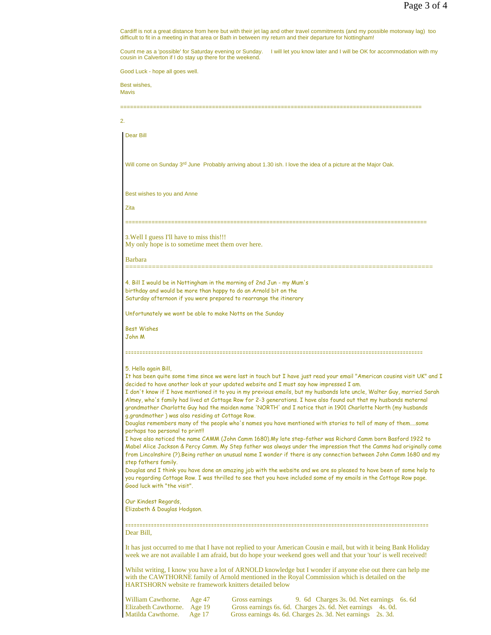.<br>Cardiff is not a great distance from here but with their jet lag and other travel commitments (and my possible motorway lag) too<br>difficult to fit in a meeting in that area or Bath in between my return and their departure

Count me as a 'possible' for Saturday evening or Sunday. I will let you know later and I will be OK for accommodation with my cousin in Calverton if I do stay up there for the weekend.

Good Luck - hope all goes well.

Best wishes, Mavis

2.

| 2.                                                                                                                                                                                                                                                                     |                                                                                                                                                                                                                                                                                        |  |  |  |  |
|------------------------------------------------------------------------------------------------------------------------------------------------------------------------------------------------------------------------------------------------------------------------|----------------------------------------------------------------------------------------------------------------------------------------------------------------------------------------------------------------------------------------------------------------------------------------|--|--|--|--|
|                                                                                                                                                                                                                                                                        | Dear Bill                                                                                                                                                                                                                                                                              |  |  |  |  |
|                                                                                                                                                                                                                                                                        |                                                                                                                                                                                                                                                                                        |  |  |  |  |
|                                                                                                                                                                                                                                                                        | Will come on Sunday 3 <sup>rd</sup> June Probably arriving about 1.30 ish. I love the idea of a picture at the Major Oak.                                                                                                                                                              |  |  |  |  |
|                                                                                                                                                                                                                                                                        |                                                                                                                                                                                                                                                                                        |  |  |  |  |
|                                                                                                                                                                                                                                                                        | Best wishes to you and Anne                                                                                                                                                                                                                                                            |  |  |  |  |
|                                                                                                                                                                                                                                                                        | Zita                                                                                                                                                                                                                                                                                   |  |  |  |  |
|                                                                                                                                                                                                                                                                        | 3. Well I guess I'll have to miss this!!!                                                                                                                                                                                                                                              |  |  |  |  |
|                                                                                                                                                                                                                                                                        | My only hope is to sometime meet them over here.                                                                                                                                                                                                                                       |  |  |  |  |
| <b>Barbara</b>                                                                                                                                                                                                                                                         |                                                                                                                                                                                                                                                                                        |  |  |  |  |
|                                                                                                                                                                                                                                                                        | 4. Bill I would be in Nottingham in the morning of 2nd Jun - my Mum's                                                                                                                                                                                                                  |  |  |  |  |
|                                                                                                                                                                                                                                                                        | birthday and would be more than happy to do an Arnold bit on the<br>Saturday afternoon if you were prepared to rearrange the itinerary                                                                                                                                                 |  |  |  |  |
|                                                                                                                                                                                                                                                                        | Unfortunately we wont be able to make Notts on the Sunday                                                                                                                                                                                                                              |  |  |  |  |
|                                                                                                                                                                                                                                                                        | <b>Best Wishes</b>                                                                                                                                                                                                                                                                     |  |  |  |  |
|                                                                                                                                                                                                                                                                        | John M                                                                                                                                                                                                                                                                                 |  |  |  |  |
|                                                                                                                                                                                                                                                                        |                                                                                                                                                                                                                                                                                        |  |  |  |  |
|                                                                                                                                                                                                                                                                        | 5. Hello again Bill,<br>It has been quite some time since we were last in touch but I have just read your email "American cousins visit UK" and I                                                                                                                                      |  |  |  |  |
|                                                                                                                                                                                                                                                                        | decided to have another look at your updated website and I must say how impressed I am.<br>I don't know if I have mentioned it to you in my previous emails, but my husbands late uncle, Walter Guy, married Sarah                                                                     |  |  |  |  |
|                                                                                                                                                                                                                                                                        | Almey, who's family had lived at Cottage Row for 2-3 generations. I have also found out that my husbands maternal<br>grandmother Charlotte Guy had the maiden name 'NORTH' and I notice that in 1901 Charlotte North (my husbands<br>g, grandmother) was also residing at Cottage Row. |  |  |  |  |
|                                                                                                                                                                                                                                                                        | Douglas remembers many of the people who's names you have mentioned with stories to tell of many of themsome                                                                                                                                                                           |  |  |  |  |
| perhaps too personal to print!!<br>I have also noticed the name CAMM (John Camm 1680).My late step-father was Richard Camm born Basford 1922 to<br>Mabel Alice Jackson & Percy Camm. My Step father was always under the impression that the Camms had originally come |                                                                                                                                                                                                                                                                                        |  |  |  |  |
|                                                                                                                                                                                                                                                                        | from Lincolnshire (?).Being rather an unusual name I wonder if there is any connection between John Camm 1680 and my<br>step fathers family.                                                                                                                                           |  |  |  |  |
|                                                                                                                                                                                                                                                                        | Douglas and I think you have done an amazing job with the website and we are so pleased to have been of some help to<br>you regarding Cottage Row. I was thrilled to see that you have included some of my emails in the Cottage Row page.                                             |  |  |  |  |
|                                                                                                                                                                                                                                                                        | Good luck with "the visit".                                                                                                                                                                                                                                                            |  |  |  |  |
|                                                                                                                                                                                                                                                                        | Our Kindest Regards,<br>Elizabeth & Douglas Hodgson.                                                                                                                                                                                                                                   |  |  |  |  |
|                                                                                                                                                                                                                                                                        |                                                                                                                                                                                                                                                                                        |  |  |  |  |
|                                                                                                                                                                                                                                                                        | Dear Bill,                                                                                                                                                                                                                                                                             |  |  |  |  |
|                                                                                                                                                                                                                                                                        | It has just occurred to me that I have not replied to your American Cousin e mail, but with it being Bank Holiday<br>week we are not available I am afraid, but do hope your weekend goes well and that your 'tour' is well received!                                                  |  |  |  |  |
|                                                                                                                                                                                                                                                                        | Whilst writing, I know you have a lot of ARNOLD knowledge but I wonder if anyone else out there can help me<br>with the CAWTHORNE family of Arnold mentioned in the Royal Commission which is detailed on the<br><b>HARTSHORN</b> website re framework knitters detailed below         |  |  |  |  |
|                                                                                                                                                                                                                                                                        | William Cawthorne.<br>Age 47<br>Gross earnings<br>9. 6d Charges 3s. 0d. Net earnings 6s. 6d<br>Gross earnings 6s. 6d. Charges 2s. 6d. Net earnings 4s. 0d.<br>Elizabeth Cawthorne.<br>Age $19$                                                                                         |  |  |  |  |

Matilda Cawthorne. Age 17 Gross earnings 4s. 6d. Charges 2s. 3d. Net earnings 2s. 3d.